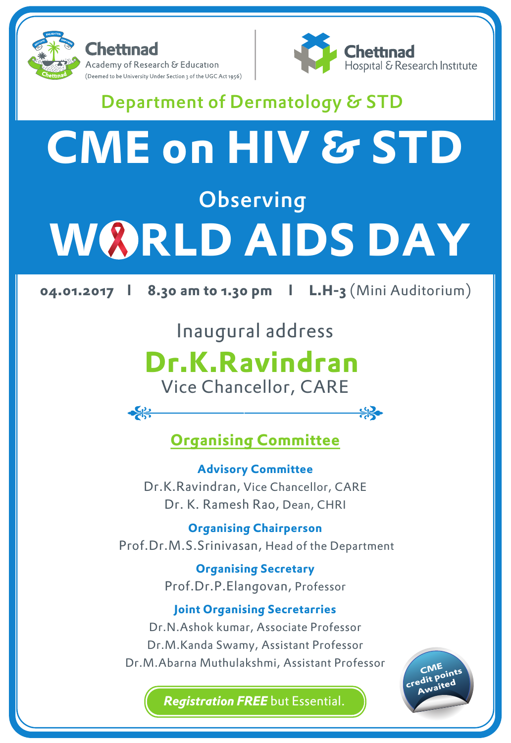

 $\frac{1}{\sqrt{2}}$ 



╬╬◆

## Department of Dermatology & STD

# **CME on HIV & STD Observing W&RLD AIDS DAY**

**04.01.2017 l 8.30 am to 1.30 pm l L.H-3** (Mini Auditorium)

### Inaugural address

# **Dr.K.Ravindran**

Vice Chancellor, CARE

### **Organising Committee**

**Advisory Committee** Dr.K.Ravindran, Vice Chancellor, CARE Dr. K. Ramesh Rao, Dean, CHRI

**Organising Chairperson** Prof.Dr.M.S.Srinivasan, Head of the Department

> **Organising Secretary** Prof.Dr.P.Elangovan, Professor

#### **Joint Organising Secretarries**

Dr.N.Ashok kumar, Associate Professor Dr.M.Kanda Swamy, Assistant Professor Dr.M.Abarna Muthulakshmi, Assistant Professor

**CME credit points Awaited**

*Registration FREE* but Essential.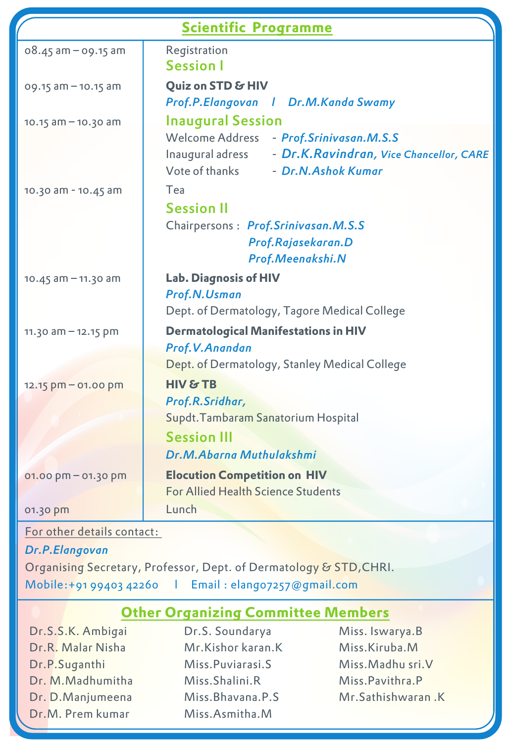| <b>Scientific Programme</b> |                                                                                                                                                                            |
|-----------------------------|----------------------------------------------------------------------------------------------------------------------------------------------------------------------------|
| $08.45$ am $-$ 09.15 am     | Registration<br><b>Session I</b>                                                                                                                                           |
| 09.15 am - 10.15 am         | Quiz on STD & HIV<br>Prof.P.Elangovan   Dr.M.Kanda Swamy                                                                                                                   |
| $10.15$ am $-10.30$ am      | <b>Inaugural Session</b><br>Welcome Address<br>- Prof.Srinivasan.M.S.S<br>Inaugural adress - Dr.K.Ravindran, Vice Chancellor, CARE<br>Vote of thanks<br>- Dr.N.Ashok Kumar |
| 10.30 am - 10.45 am         | Tea<br><b>Session II</b><br>Chairpersons: Prof.Srinivasan.M.S.S<br>Prof.Rajasekaran.D<br>Prof.Meenakshi.N                                                                  |
| $10.45$ am $- 11.30$ am     | <b>Lab. Diagnosis of HIV</b><br>Prof.N.Usman<br>Dept. of Dermatology, Tagore Medical College                                                                               |
| 11.30 am - 12.15 pm         | <b>Dermatological Manifestations in HIV</b><br>Prof.V.Anandan<br>Dept. of Dermatology, Stanley Medical College                                                             |
| 12.15 pm - 01.00 pm         | HIV & TB<br>Prof.R.Sridhar,<br>Supdt. Tambaram Sanatorium Hospital<br><b>Session III</b><br>Dr.M.Abarna Muthulakshmi                                                       |
| 01.00 pm - 01.30 pm         | <b>Elocution Competition on HIV</b><br>For Allied Health Science Students                                                                                                  |
| 01.30 pm                    | Lunch                                                                                                                                                                      |

#### For other details contact:

#### *Dr.P.Elangovan*

Organising Secretary, Professor, Dept. of Dermatology & STD, CHRI. Mobile:+91 99403 42260 l Email : elango7257@gmail.com

#### **Other Organizing Committee Members**

- Dr.S.S.K. Ambigai Dr.R. Malar Nisha Dr.P.Suganthi Dr. M.Madhumitha Dr. D.Manjumeena Dr.M. Prem kumar
- Dr.S. Soundarya Mr.Kishor karan.K Miss.Puviarasi.S Miss.Shalini.R Miss.Bhavana.P.S Miss.Asmitha.M
- Miss. Iswarya.B Miss.Kiruba.M Miss.Madhu sri.V Miss.Pavithra.P Mr.Sathishwaran .K